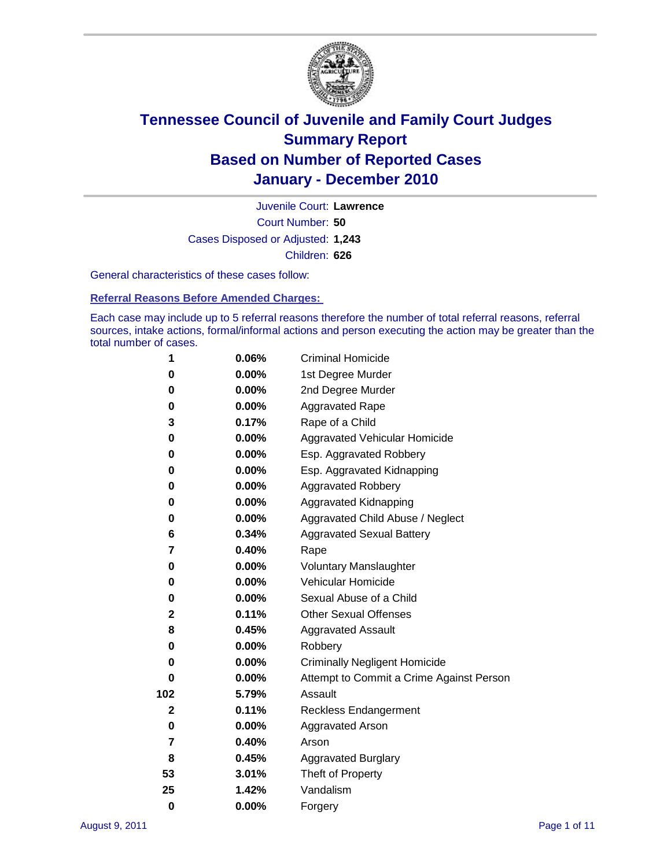

Court Number: **50** Juvenile Court: **Lawrence** Cases Disposed or Adjusted: **1,243** Children: **626**

General characteristics of these cases follow:

**Referral Reasons Before Amended Charges:** 

Each case may include up to 5 referral reasons therefore the number of total referral reasons, referral sources, intake actions, formal/informal actions and person executing the action may be greater than the total number of cases.

| 1            | 0.06%    | <b>Criminal Homicide</b>                 |  |  |
|--------------|----------|------------------------------------------|--|--|
| 0            | 0.00%    | 1st Degree Murder                        |  |  |
|              |          |                                          |  |  |
| 0            | $0.00\%$ | 2nd Degree Murder                        |  |  |
| 0            | $0.00\%$ | <b>Aggravated Rape</b>                   |  |  |
| 3            | 0.17%    | Rape of a Child                          |  |  |
| 0            | 0.00%    | Aggravated Vehicular Homicide            |  |  |
| 0            | $0.00\%$ | Esp. Aggravated Robbery                  |  |  |
| 0            | 0.00%    | Esp. Aggravated Kidnapping               |  |  |
| 0            | $0.00\%$ | <b>Aggravated Robbery</b>                |  |  |
| 0            | 0.00%    | Aggravated Kidnapping                    |  |  |
| 0            | 0.00%    | Aggravated Child Abuse / Neglect         |  |  |
| 6            | 0.34%    | <b>Aggravated Sexual Battery</b>         |  |  |
| 7            | 0.40%    | Rape                                     |  |  |
| 0            | $0.00\%$ | <b>Voluntary Manslaughter</b>            |  |  |
| 0            | 0.00%    | Vehicular Homicide                       |  |  |
| 0            | 0.00%    | Sexual Abuse of a Child                  |  |  |
| 2            | 0.11%    | <b>Other Sexual Offenses</b>             |  |  |
| 8            | 0.45%    | <b>Aggravated Assault</b>                |  |  |
| 0            | 0.00%    | Robbery                                  |  |  |
| 0            | $0.00\%$ | <b>Criminally Negligent Homicide</b>     |  |  |
| 0            | 0.00%    | Attempt to Commit a Crime Against Person |  |  |
| 102          | 5.79%    | Assault                                  |  |  |
| $\mathbf{2}$ | 0.11%    | <b>Reckless Endangerment</b>             |  |  |
| 0            | $0.00\%$ | <b>Aggravated Arson</b>                  |  |  |
| 7            | 0.40%    | Arson                                    |  |  |
| 8            | 0.45%    | <b>Aggravated Burglary</b>               |  |  |
| 53           | 3.01%    | Theft of Property                        |  |  |
| 25           | 1.42%    | Vandalism                                |  |  |
| $\bf{0}$     | 0.00%    | Forgery                                  |  |  |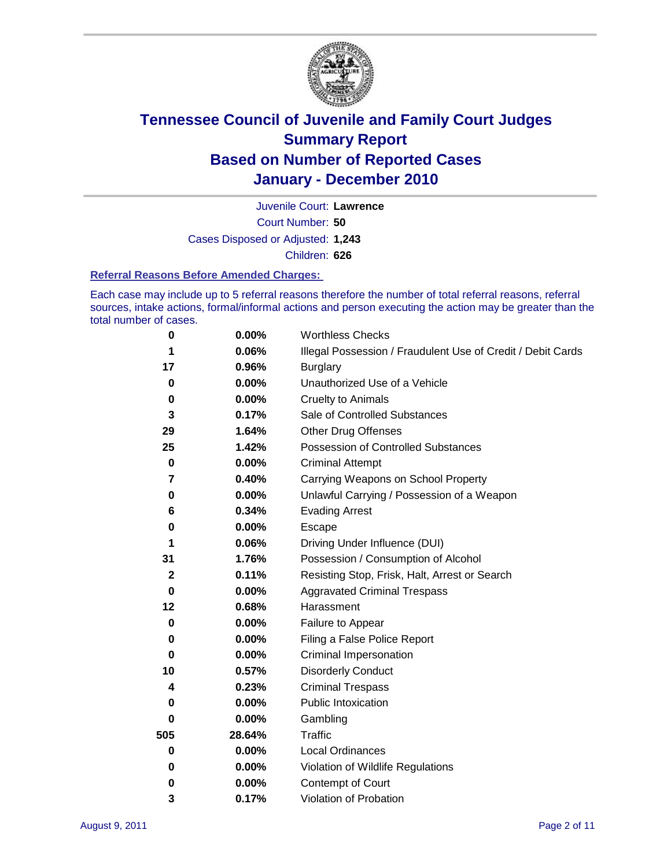

Court Number: **50** Juvenile Court: **Lawrence** Cases Disposed or Adjusted: **1,243** Children: **626**

#### **Referral Reasons Before Amended Charges:**

Each case may include up to 5 referral reasons therefore the number of total referral reasons, referral sources, intake actions, formal/informal actions and person executing the action may be greater than the total number of cases.

| $\pmb{0}$   | 0.00%    | <b>Worthless Checks</b>                                     |  |  |
|-------------|----------|-------------------------------------------------------------|--|--|
| 1           | 0.06%    | Illegal Possession / Fraudulent Use of Credit / Debit Cards |  |  |
| 17          | 0.96%    | <b>Burglary</b>                                             |  |  |
| $\bf{0}$    | $0.00\%$ | Unauthorized Use of a Vehicle                               |  |  |
| $\pmb{0}$   | $0.00\%$ | <b>Cruelty to Animals</b>                                   |  |  |
| 3           | 0.17%    | Sale of Controlled Substances                               |  |  |
| 29          | 1.64%    | <b>Other Drug Offenses</b>                                  |  |  |
| 25          | 1.42%    | Possession of Controlled Substances                         |  |  |
| $\mathbf 0$ | $0.00\%$ | <b>Criminal Attempt</b>                                     |  |  |
| 7           | 0.40%    | Carrying Weapons on School Property                         |  |  |
| 0           | $0.00\%$ | Unlawful Carrying / Possession of a Weapon                  |  |  |
| 6           | 0.34%    | <b>Evading Arrest</b>                                       |  |  |
| 0           | 0.00%    | Escape                                                      |  |  |
| 1           | 0.06%    | Driving Under Influence (DUI)                               |  |  |
| 31          | 1.76%    | Possession / Consumption of Alcohol                         |  |  |
| $\mathbf 2$ | 0.11%    | Resisting Stop, Frisk, Halt, Arrest or Search               |  |  |
| $\mathbf 0$ | $0.00\%$ | <b>Aggravated Criminal Trespass</b>                         |  |  |
| 12          | 0.68%    | Harassment                                                  |  |  |
| $\mathbf 0$ | 0.00%    | Failure to Appear                                           |  |  |
| 0           | $0.00\%$ | Filing a False Police Report                                |  |  |
| $\bf{0}$    | 0.00%    | Criminal Impersonation                                      |  |  |
| 10          | 0.57%    | <b>Disorderly Conduct</b>                                   |  |  |
| 4           | 0.23%    | <b>Criminal Trespass</b>                                    |  |  |
| 0           | $0.00\%$ | <b>Public Intoxication</b>                                  |  |  |
| 0           | $0.00\%$ | Gambling                                                    |  |  |
| 505         | 28.64%   | <b>Traffic</b>                                              |  |  |
| 0           | $0.00\%$ | Local Ordinances                                            |  |  |
| 0           | $0.00\%$ | Violation of Wildlife Regulations                           |  |  |
| 0           | $0.00\%$ | Contempt of Court                                           |  |  |
| 3           | 0.17%    | Violation of Probation                                      |  |  |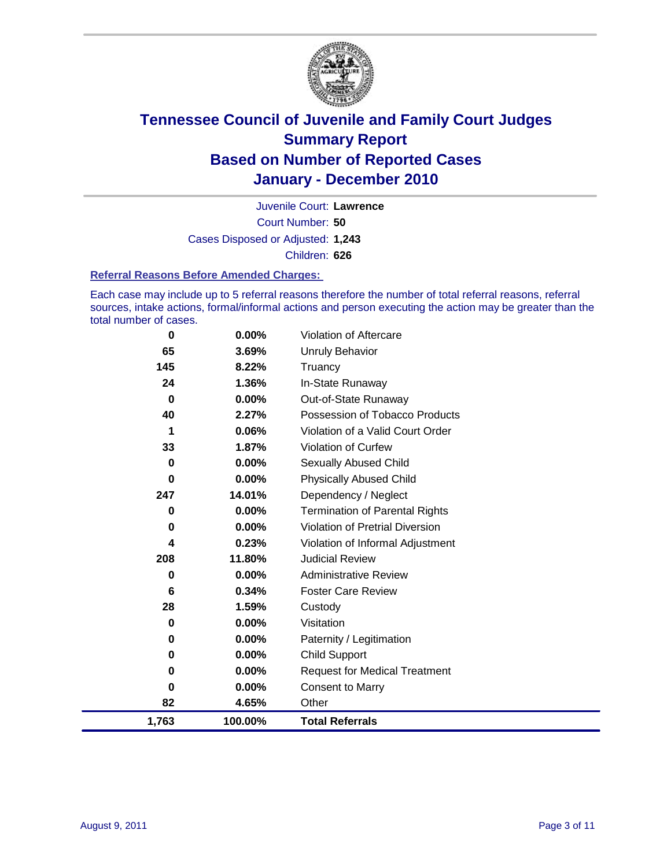

Court Number: **50** Juvenile Court: **Lawrence** Cases Disposed or Adjusted: **1,243** Children: **626**

#### **Referral Reasons Before Amended Charges:**

Each case may include up to 5 referral reasons therefore the number of total referral reasons, referral sources, intake actions, formal/informal actions and person executing the action may be greater than the total number of cases.

| 0        | 0.00%    | Violation of Aftercare                 |
|----------|----------|----------------------------------------|
| 65       | 3.69%    | <b>Unruly Behavior</b>                 |
| 145      | 8.22%    | Truancy                                |
| 24       | 1.36%    | In-State Runaway                       |
| $\bf{0}$ | $0.00\%$ | Out-of-State Runaway                   |
| 40       | 2.27%    | Possession of Tobacco Products         |
| 1        | 0.06%    | Violation of a Valid Court Order       |
| 33       | 1.87%    | Violation of Curfew                    |
| $\bf{0}$ | 0.00%    | Sexually Abused Child                  |
| $\bf{0}$ | 0.00%    | <b>Physically Abused Child</b>         |
| 247      | 14.01%   | Dependency / Neglect                   |
| 0        | 0.00%    | <b>Termination of Parental Rights</b>  |
| 0        | 0.00%    | <b>Violation of Pretrial Diversion</b> |
| 4        | 0.23%    | Violation of Informal Adjustment       |
| 208      | 11.80%   | <b>Judicial Review</b>                 |
| 0        | $0.00\%$ | <b>Administrative Review</b>           |
| 6        | 0.34%    | <b>Foster Care Review</b>              |
| 28       | 1.59%    | Custody                                |
| 0        | 0.00%    | Visitation                             |
| 0        | 0.00%    | Paternity / Legitimation               |
| 0        | 0.00%    | <b>Child Support</b>                   |
| 0        | 0.00%    | <b>Request for Medical Treatment</b>   |
| 0        | 0.00%    | <b>Consent to Marry</b>                |
| 82       | 4.65%    | Other                                  |
| 1,763    | 100.00%  | <b>Total Referrals</b>                 |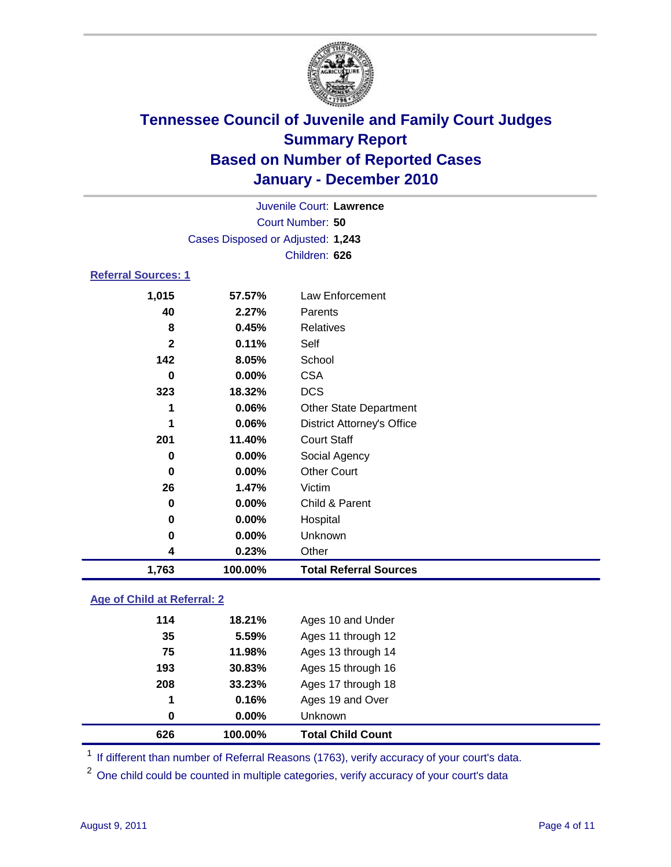

| Juvenile Court: Lawrence   |                                   |                                   |  |  |
|----------------------------|-----------------------------------|-----------------------------------|--|--|
|                            | <b>Court Number: 50</b>           |                                   |  |  |
|                            | Cases Disposed or Adjusted: 1,243 |                                   |  |  |
|                            | Children: 626                     |                                   |  |  |
| <b>Referral Sources: 1</b> |                                   |                                   |  |  |
| 1,015                      | 57.57%                            | Law Enforcement                   |  |  |
| 40                         | 2.27%                             | Parents                           |  |  |
| 8                          | 0.45%                             | <b>Relatives</b>                  |  |  |
| $\mathbf{2}$               | 0.11%                             | Self                              |  |  |
| 142                        | 8.05%                             | School                            |  |  |
| 0                          | 0.00%                             | <b>CSA</b>                        |  |  |
| 323                        | 18.32%                            | <b>DCS</b>                        |  |  |
| 1                          | 0.06%                             | <b>Other State Department</b>     |  |  |
| 1                          | 0.06%                             | <b>District Attorney's Office</b> |  |  |
| 201                        | 11.40%                            | <b>Court Staff</b>                |  |  |
| $\bf{0}$                   | 0.00%                             | Social Agency                     |  |  |
| 0                          | 0.00%                             | <b>Other Court</b>                |  |  |
| 26                         | 1.47%                             | Victim                            |  |  |
| 0                          | 0.00%                             | Child & Parent                    |  |  |
| 0                          | 0.00%                             | Hospital                          |  |  |
| 0                          | 0.00%                             | Unknown                           |  |  |
| 4                          | 0.23%                             | Other                             |  |  |
| 1,763                      | 100.00%                           | <b>Total Referral Sources</b>     |  |  |
|                            |                                   |                                   |  |  |

### **Age of Child at Referral: 2**

| 626 | 100.00%       | <b>Total Child Count</b> |
|-----|---------------|--------------------------|
|     | $0.00\%$<br>0 | <b>Unknown</b>           |
|     | 0.16%<br>1    | Ages 19 and Over         |
| 208 | 33.23%        | Ages 17 through 18       |
| 193 | 30.83%        | Ages 15 through 16       |
| 75  | 11.98%        | Ages 13 through 14       |
| 35  | 5.59%         | Ages 11 through 12       |
| 114 | 18.21%        | Ages 10 and Under        |
|     |               |                          |

<sup>1</sup> If different than number of Referral Reasons (1763), verify accuracy of your court's data.

<sup>2</sup> One child could be counted in multiple categories, verify accuracy of your court's data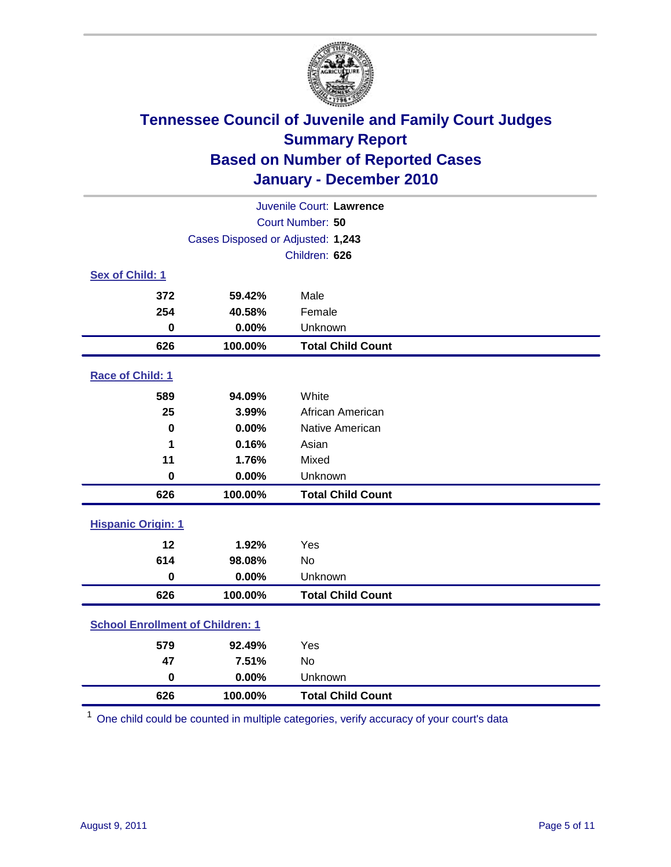

| Juvenile Court: Lawrence                |                                   |                          |  |  |  |
|-----------------------------------------|-----------------------------------|--------------------------|--|--|--|
|                                         | Court Number: 50                  |                          |  |  |  |
|                                         | Cases Disposed or Adjusted: 1,243 |                          |  |  |  |
|                                         |                                   | Children: 626            |  |  |  |
| Sex of Child: 1                         |                                   |                          |  |  |  |
| 372                                     | 59.42%                            | Male                     |  |  |  |
| 254                                     | 40.58%                            | Female                   |  |  |  |
| $\mathbf 0$                             | 0.00%                             | Unknown                  |  |  |  |
| 626                                     | 100.00%                           | <b>Total Child Count</b> |  |  |  |
| Race of Child: 1                        |                                   |                          |  |  |  |
| 589                                     | 94.09%                            | White                    |  |  |  |
| 25                                      | 3.99%                             | African American         |  |  |  |
| $\bf{0}$                                | 0.00%                             | Native American          |  |  |  |
| 1                                       | 0.16%                             | Asian                    |  |  |  |
| 11                                      | 1.76%                             | Mixed                    |  |  |  |
| $\pmb{0}$                               | 0.00%                             | Unknown                  |  |  |  |
| 626                                     | 100.00%                           | <b>Total Child Count</b> |  |  |  |
| <b>Hispanic Origin: 1</b>               |                                   |                          |  |  |  |
| 12                                      | 1.92%                             | Yes                      |  |  |  |
| 614                                     | 98.08%                            | No                       |  |  |  |
| $\bf{0}$                                | 0.00%                             | Unknown                  |  |  |  |
| 626                                     | 100.00%                           | <b>Total Child Count</b> |  |  |  |
| <b>School Enrollment of Children: 1</b> |                                   |                          |  |  |  |
| 579                                     | 92.49%                            | Yes                      |  |  |  |
| 47                                      | 7.51%                             | No                       |  |  |  |
| $\mathbf 0$                             | 0.00%                             | Unknown                  |  |  |  |
| 626                                     | 100.00%                           | <b>Total Child Count</b> |  |  |  |

One child could be counted in multiple categories, verify accuracy of your court's data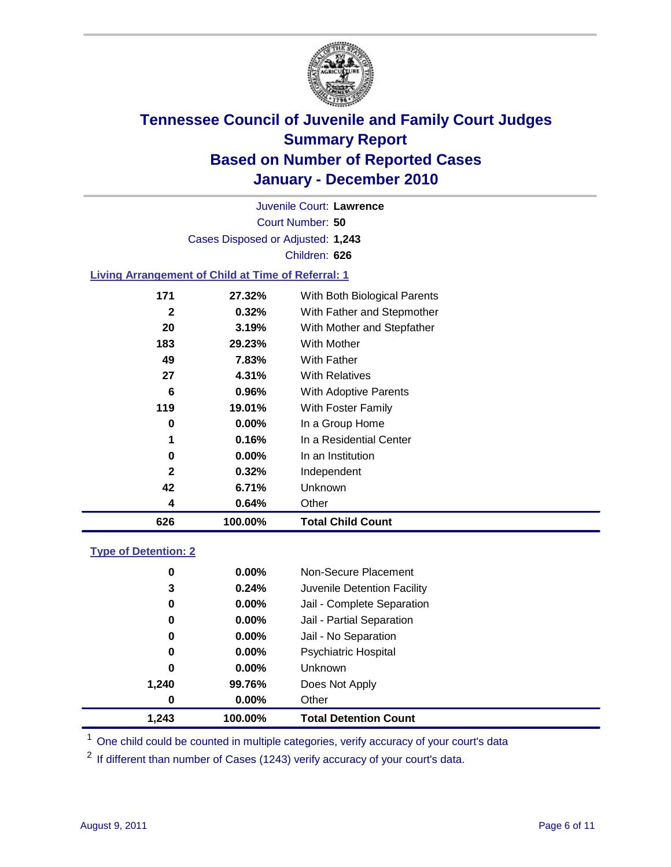

Court Number: **50** Juvenile Court: **Lawrence** Cases Disposed or Adjusted: **1,243** Children: **626**

### **Living Arrangement of Child at Time of Referral: 1**

| 626          | 100.00%  | <b>Total Child Count</b>     |
|--------------|----------|------------------------------|
| 4            | 0.64%    | Other                        |
| 42           | 6.71%    | Unknown                      |
| $\mathbf{2}$ | 0.32%    | Independent                  |
| 0            | $0.00\%$ | In an Institution            |
| 1            | 0.16%    | In a Residential Center      |
| 0            | $0.00\%$ | In a Group Home              |
| 119          | 19.01%   | With Foster Family           |
| 6            | 0.96%    | With Adoptive Parents        |
| 27           | 4.31%    | <b>With Relatives</b>        |
| 49           | 7.83%    | With Father                  |
| 183          | 29.23%   | <b>With Mother</b>           |
| 20           | 3.19%    | With Mother and Stepfather   |
| $\mathbf{2}$ | 0.32%    | With Father and Stepmother   |
| 171          | 27.32%   | With Both Biological Parents |
|              |          |                              |

### **Type of Detention: 2**

| 1.243            | 100.00%  | <b>Total Detention Count</b> |
|------------------|----------|------------------------------|
| $\boldsymbol{0}$ | $0.00\%$ | Other                        |
| 1,240            | 99.76%   | Does Not Apply               |
| 0                | $0.00\%$ | <b>Unknown</b>               |
| 0                | $0.00\%$ | Psychiatric Hospital         |
| 0                | 0.00%    | Jail - No Separation         |
| 0                | $0.00\%$ | Jail - Partial Separation    |
| 0                | 0.00%    | Jail - Complete Separation   |
| 3                | 0.24%    | Juvenile Detention Facility  |
| 0                | $0.00\%$ | Non-Secure Placement         |
|                  |          |                              |

<sup>1</sup> One child could be counted in multiple categories, verify accuracy of your court's data

<sup>2</sup> If different than number of Cases (1243) verify accuracy of your court's data.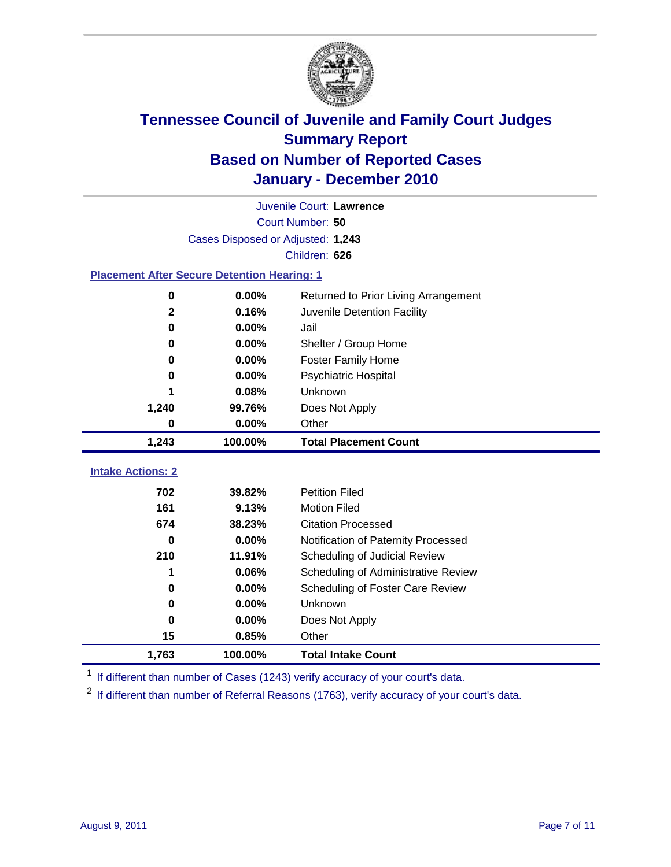

|                                                    | Juvenile Court: Lawrence          |                                      |  |  |  |
|----------------------------------------------------|-----------------------------------|--------------------------------------|--|--|--|
|                                                    | Court Number: 50                  |                                      |  |  |  |
|                                                    | Cases Disposed or Adjusted: 1,243 |                                      |  |  |  |
|                                                    |                                   | Children: 626                        |  |  |  |
| <b>Placement After Secure Detention Hearing: 1</b> |                                   |                                      |  |  |  |
| 0                                                  | 0.00%                             | Returned to Prior Living Arrangement |  |  |  |
| $\mathbf{2}$                                       | 0.16%                             | Juvenile Detention Facility          |  |  |  |
| $\bf{0}$                                           | 0.00%                             | Jail                                 |  |  |  |
| $\bf{0}$                                           | 0.00%                             | Shelter / Group Home                 |  |  |  |
| 0                                                  | 0.00%                             | <b>Foster Family Home</b>            |  |  |  |
| 0                                                  | 0.00%                             | <b>Psychiatric Hospital</b>          |  |  |  |
|                                                    | 0.08%                             | Unknown                              |  |  |  |
| 1,240                                              | 99.76%                            | Does Not Apply                       |  |  |  |
| 0                                                  | 0.00%                             | Other                                |  |  |  |
| 1,243                                              | 100.00%                           | <b>Total Placement Count</b>         |  |  |  |
|                                                    |                                   |                                      |  |  |  |
| <b>Intake Actions: 2</b>                           |                                   |                                      |  |  |  |
| 702                                                | 39.82%                            | <b>Petition Filed</b>                |  |  |  |
| 161                                                | 9.13%                             | <b>Motion Filed</b>                  |  |  |  |
| 674                                                | 38.23%                            | <b>Citation Processed</b>            |  |  |  |
| 0                                                  | 0.00%                             | Notification of Paternity Processed  |  |  |  |
| 210                                                | 11.91%                            | Scheduling of Judicial Review        |  |  |  |
| 1                                                  | 0.06%                             | Scheduling of Administrative Review  |  |  |  |
| 0                                                  | 0.00%                             | Scheduling of Foster Care Review     |  |  |  |
| $\bf{0}$                                           | 0.00%                             | Unknown                              |  |  |  |
| $\bf{0}$                                           | 0.00%                             | Does Not Apply                       |  |  |  |
| 15                                                 | 0.85%                             | Other                                |  |  |  |
| 1,763                                              | 100.00%                           | <b>Total Intake Count</b>            |  |  |  |

<sup>1</sup> If different than number of Cases (1243) verify accuracy of your court's data.

<sup>2</sup> If different than number of Referral Reasons (1763), verify accuracy of your court's data.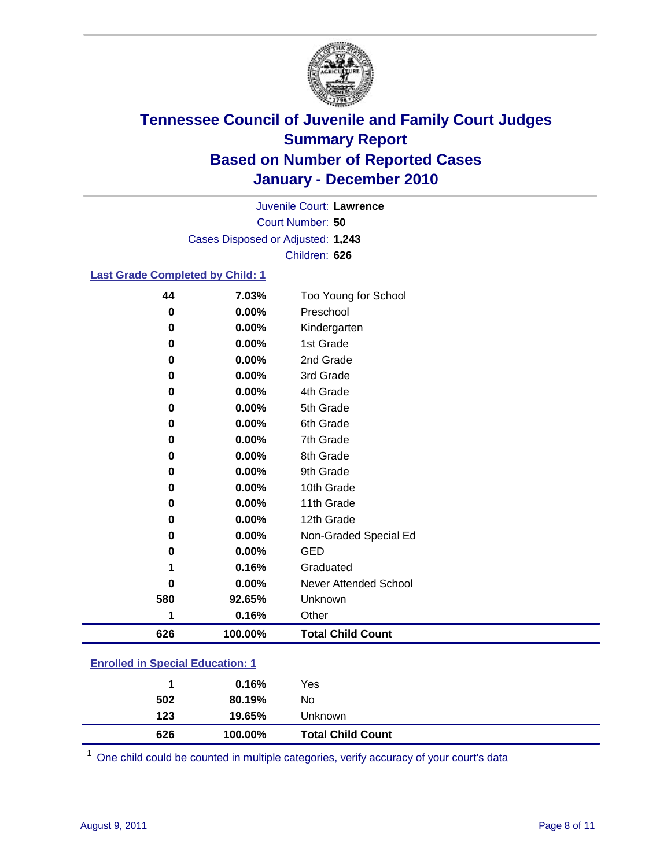

Court Number: **50** Juvenile Court: **Lawrence** Cases Disposed or Adjusted: **1,243** Children: **626**

### **Last Grade Completed by Child: 1**

| 44                                      | 7.03%   | Too Young for School         |  |
|-----------------------------------------|---------|------------------------------|--|
| 0                                       | 0.00%   | Preschool                    |  |
| 0                                       | 0.00%   | Kindergarten                 |  |
| 0                                       | 0.00%   | 1st Grade                    |  |
| 0                                       | 0.00%   | 2nd Grade                    |  |
| 0                                       | 0.00%   | 3rd Grade                    |  |
| 0                                       | 0.00%   | 4th Grade                    |  |
| 0                                       | 0.00%   | 5th Grade                    |  |
| 0                                       | 0.00%   | 6th Grade                    |  |
| 0                                       | 0.00%   | 7th Grade                    |  |
| 0                                       | 0.00%   | 8th Grade                    |  |
| 0                                       | 0.00%   | 9th Grade                    |  |
| 0                                       | 0.00%   | 10th Grade                   |  |
| 0                                       | 0.00%   | 11th Grade                   |  |
| 0                                       | 0.00%   | 12th Grade                   |  |
| 0                                       | 0.00%   | Non-Graded Special Ed        |  |
| 0                                       | 0.00%   | <b>GED</b>                   |  |
| 1                                       | 0.16%   | Graduated                    |  |
| 0                                       | 0.00%   | <b>Never Attended School</b> |  |
| 580                                     | 92.65%  | Unknown                      |  |
| 1                                       | 0.16%   | Other                        |  |
| 626                                     | 100.00% | <b>Total Child Count</b>     |  |
| <b>Enrolled in Special Education: 1</b> |         |                              |  |

| 626                                 | 100.00% | <b>Total Child Count</b> |  |
|-------------------------------------|---------|--------------------------|--|
| 123                                 | 19.65%  | <b>Unknown</b>           |  |
| 502                                 | 80.19%  | No.                      |  |
| $\mathbf 1$                         | 0.16%   | Yes                      |  |
| Lillvilled III opecial Ludcation. T |         |                          |  |

One child could be counted in multiple categories, verify accuracy of your court's data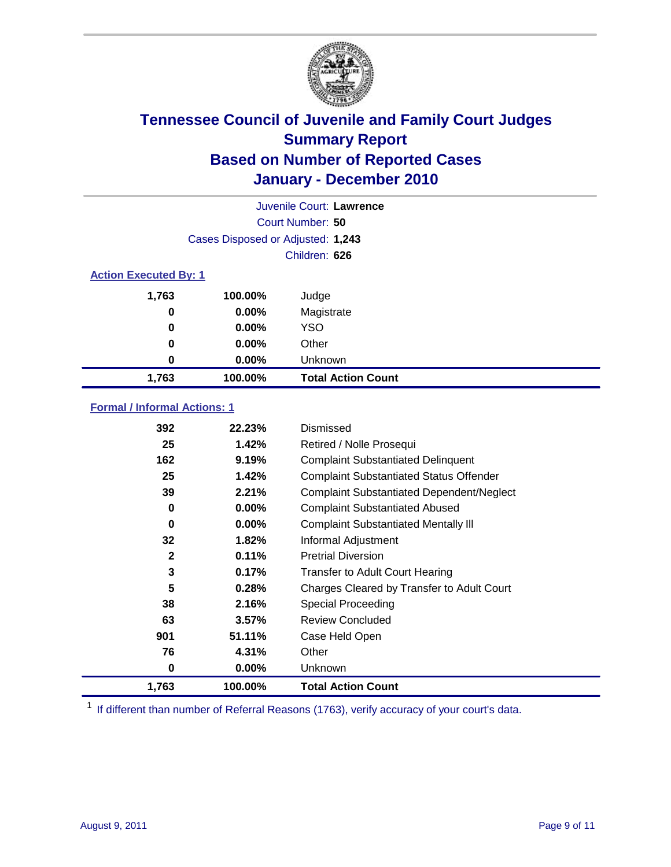

|                              | Juvenile Court: Lawrence          |                           |  |  |
|------------------------------|-----------------------------------|---------------------------|--|--|
|                              | Court Number: 50                  |                           |  |  |
|                              | Cases Disposed or Adjusted: 1,243 |                           |  |  |
|                              |                                   | Children: 626             |  |  |
| <b>Action Executed By: 1</b> |                                   |                           |  |  |
| 1,763                        | 100.00%                           | Judge                     |  |  |
| 0                            | $0.00\%$                          | Magistrate                |  |  |
| 0                            | $0.00\%$                          | <b>YSO</b>                |  |  |
| 0                            | $0.00\%$                          | Other                     |  |  |
| 0                            | 0.00%                             | Unknown                   |  |  |
| 1,763                        | 100.00%                           | <b>Total Action Count</b> |  |  |

### **Formal / Informal Actions: 1**

| 392          | 22.23%   | Dismissed                                        |
|--------------|----------|--------------------------------------------------|
| 25           | 1.42%    | Retired / Nolle Prosequi                         |
| 162          | 9.19%    | <b>Complaint Substantiated Delinquent</b>        |
| 25           | 1.42%    | <b>Complaint Substantiated Status Offender</b>   |
| 39           | 2.21%    | <b>Complaint Substantiated Dependent/Neglect</b> |
| 0            | $0.00\%$ | <b>Complaint Substantiated Abused</b>            |
| 0            | $0.00\%$ | <b>Complaint Substantiated Mentally III</b>      |
| 32           | 1.82%    | Informal Adjustment                              |
| $\mathbf{2}$ | 0.11%    | <b>Pretrial Diversion</b>                        |
| 3            | 0.17%    | <b>Transfer to Adult Court Hearing</b>           |
| 5            | 0.28%    | Charges Cleared by Transfer to Adult Court       |
| 38           | 2.16%    | <b>Special Proceeding</b>                        |
| 63           | 3.57%    | <b>Review Concluded</b>                          |
| 901          | 51.11%   | Case Held Open                                   |
| 76           | 4.31%    | Other                                            |
| 0            | $0.00\%$ | Unknown                                          |
| 1,763        | 100.00%  | <b>Total Action Count</b>                        |

<sup>1</sup> If different than number of Referral Reasons (1763), verify accuracy of your court's data.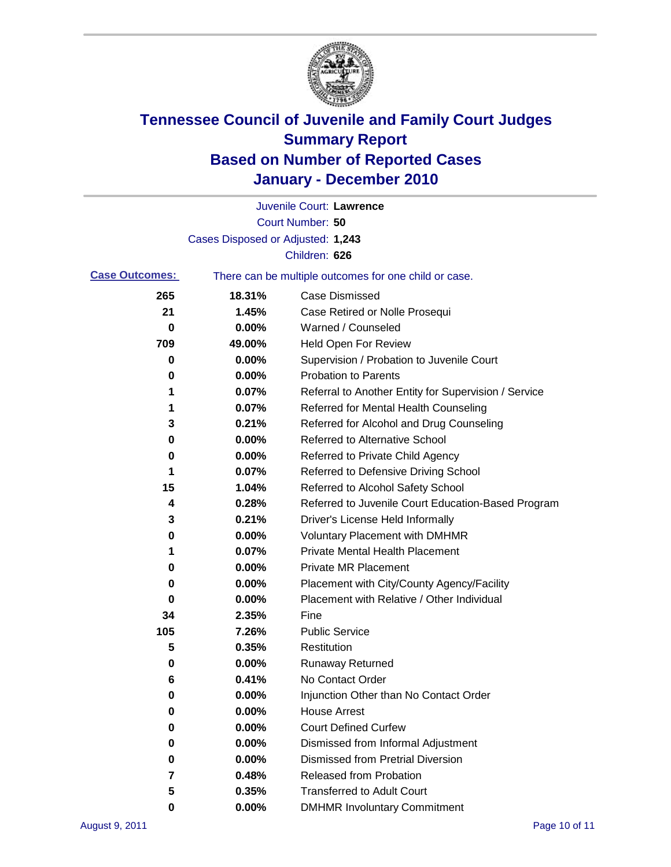

|                       |                                   | Juvenile Court: Lawrence                              |
|-----------------------|-----------------------------------|-------------------------------------------------------|
|                       |                                   | Court Number: 50                                      |
|                       | Cases Disposed or Adjusted: 1,243 |                                                       |
|                       |                                   | Children: 626                                         |
| <b>Case Outcomes:</b> |                                   | There can be multiple outcomes for one child or case. |
| 265                   | 18.31%                            | <b>Case Dismissed</b>                                 |
| 21                    | 1.45%                             | Case Retired or Nolle Prosequi                        |
| 0                     | 0.00%                             | Warned / Counseled                                    |
| 709                   | 49.00%                            | <b>Held Open For Review</b>                           |
| 0                     | 0.00%                             | Supervision / Probation to Juvenile Court             |
| 0                     | 0.00%                             | <b>Probation to Parents</b>                           |
| 1                     | 0.07%                             | Referral to Another Entity for Supervision / Service  |
| 1                     | 0.07%                             | Referred for Mental Health Counseling                 |
| 3                     | 0.21%                             | Referred for Alcohol and Drug Counseling              |
| 0                     | 0.00%                             | <b>Referred to Alternative School</b>                 |
| 0                     | 0.00%                             | Referred to Private Child Agency                      |
| 1                     | 0.07%                             | Referred to Defensive Driving School                  |
| 15                    | 1.04%                             | Referred to Alcohol Safety School                     |
| 4                     | 0.28%                             | Referred to Juvenile Court Education-Based Program    |
| 3                     | 0.21%                             | Driver's License Held Informally                      |
| 0                     | 0.00%                             | <b>Voluntary Placement with DMHMR</b>                 |
| 1                     | 0.07%                             | <b>Private Mental Health Placement</b>                |
| 0                     | 0.00%                             | <b>Private MR Placement</b>                           |
| 0                     | 0.00%                             | Placement with City/County Agency/Facility            |
| 0                     | 0.00%                             | Placement with Relative / Other Individual            |
| 34                    | 2.35%                             | Fine                                                  |
| 105                   | 7.26%                             | <b>Public Service</b>                                 |
| 5                     | 0.35%                             | Restitution                                           |
| 0                     | 0.00%                             | <b>Runaway Returned</b>                               |
| 6                     | 0.41%                             | No Contact Order                                      |
| 0                     | 0.00%                             | Injunction Other than No Contact Order                |
| 0                     | 0.00%                             | <b>House Arrest</b>                                   |
| 0                     | 0.00%                             | <b>Court Defined Curfew</b>                           |
| 0                     | 0.00%                             | Dismissed from Informal Adjustment                    |
| 0                     | 0.00%                             | <b>Dismissed from Pretrial Diversion</b>              |
| 7                     | 0.48%                             | Released from Probation                               |
| 5                     | 0.35%                             | <b>Transferred to Adult Court</b>                     |
| 0                     | $0.00\%$                          | <b>DMHMR Involuntary Commitment</b>                   |